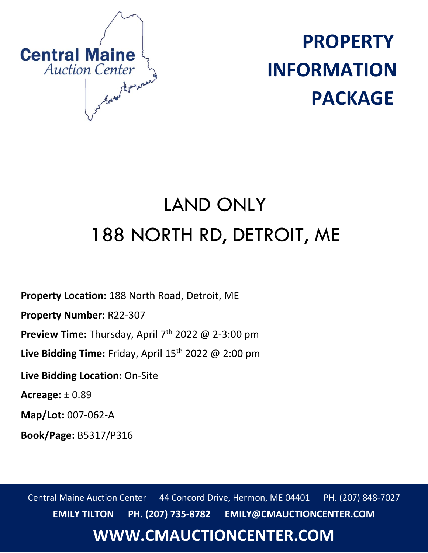

**PROPERTY INFORMATION PACKAGE**

## LAND ONLY 188 NORTH RD, DETROIT, ME

**Property Location:** 188 North Road, Detroit, ME

**Property Number:** R22-307

**Preview Time:** Thursday, April 7th 2022 @ 2-3:00 pm

Live Bidding Time: Friday, April 15<sup>th</sup> 2022 @ 2:00 pm

**Live Bidding Location:** On-Site

**Acreage:** ± 0.89

**Map/Lot:** 007-062-A

**Book/Page:** B5317/P316

Central Maine Auction Center 44 Concord Drive, Hermon, ME 04401 PH. (207) 848-7027 **EMILY TILTON PH. (207) 735-8782 EMILY@CMAUCTIONCENTER.COM**

## **WWW.CMAUCTIONCENTER.COM**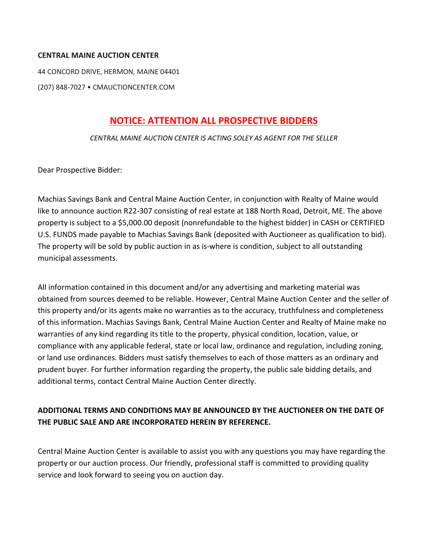#### **CENTRAL MAINE AUCTION CENTER**

44 CONCORD DRIVE, HERMON, MAINE 04401

(207) 848-7027 • CMAUCTIONCENTER.COM

#### **NOTICE: ATTENTION ALL PROSPECTIVE BIDDERS**

*CENTRAL MAINE AUCTION CENTER IS ACTING SOLEY AS AGENT FOR THE SELLER*

Dear Prospective Bidder:

Machias Savings Bank and Central Maine Auction Center, in conjunction with Realty of Maine would like to announce auction R22-307 consisting of real estate at 188 North Road, Detroit, ME. The above property is subject to a \$5,000.00 deposit (nonrefundable to the highest bidder) in CASH or CERTIFIED U.S. FUNDS made payable to Machias Savings Bank (deposited with Auctioneer as qualification to bid). The property will be sold by public auction in as is-where is condition, subject to all outstanding municipal assessments.

All information contained in this document and/or any advertising and marketing material was obtained from sources deemed to be reliable. However, Central Maine Auction Center and the seller of this property and/or its agents make no warranties as to the accuracy, truthfulness and completeness of this information. Machias Savings Bank, Central Maine Auction Center and Realty of Maine make no warranties of any kind regarding its title to the property, physical condition, location, value, or compliance with any applicable federal, state or local law, ordinance and regulation, including zoning, or land use ordinances. Bidders must satisfy themselves to each of those matters as an ordinary and prudent buyer. For further information regarding the property, the public sale bidding details, and additional terms, contact Central Maine Auction Center directly.

#### **ADDITIONAL TERMS AND CONDITIONS MAY BE ANNOUNCED BY THE AUCTIONEER ON THE DATE OF THE PUBLIC SALE AND ARE INCORPORATED HEREIN BY REFERENCE.**

Central Maine Auction Center is available to assist you with any questions you may have regarding the property or our auction process. Our friendly, professional staff is committed to providing quality service and look forward to seeing you on auction day.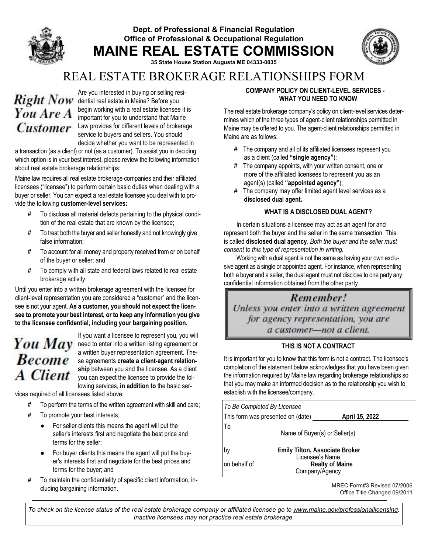#### Dept. of Professional & Financial Regulation Office of Professional & Occupational Regulation MAINE REAL ESTATE COMMISSION



35 State House Station Augusta ME 04333-0035

### REAL ESTATE BROKERAGE RELATIONSHIPS FORM

# You Are A

Are you interested in buying or selling resi-Right Now dential real estate in Maine? Before you begin working with a real estate licensee it is important for you to understand that Maine Customer Law provides for different levels of brokerage service to buyers and sellers. You should decide whether you want to be represented in

a transaction (as a client) or not (as a customer). To assist you in deciding which option is in your best interest, please review the following information about real estate brokerage relationships:

Maine law requires all real estate brokerage companies and their affiliated licensees ("licensee") to perform certain basic duties when dealing with a buyer or seller. You can expect a real estate licensee you deal with to provide the following customer-level services:

- **#** To disclose all material defects pertaining to the physical condition of the real estate that are known by the licensee;
- **#** To treat both the buyer and seller honestly and not knowingly give false information;
- **#** To account for all money and property received from or on behalf of the buyer or seller; and
- **#** To comply with all state and federal laws related to real estate brokerage activity.

Until you enter into a written brokerage agreement with the licensee for client-level representation you are considered a "customer" and the licensee is not your agent. As a customer, you should not expect the licensee to promote your best interest, or to keep any information you give to the licensee confidential, including your bargaining position.

# **Become A** Client

If you want a licensee to represent you, you will You  $May$  need to enter into a written listing agreement or a written buyer representation agreement. These agreements create a client-agent relationship between you and the licensee. As a client you can expect the licensee to provide the following services, in addition to the basic ser-

vices required of all licensees listed above:

- **#** To perform the terms of the written agreement with skill and care;
- **#** To promote your best interests;
	- For seller clients this means the agent will put the seller's interests first and negotiate the best price and terms for the seller;
	- For buyer clients this means the agent will put the buyer's interests first and negotiate for the best prices and terms for the buyer; and
- **#** To maintain the confidentiality of specific client information, including bargaining information.

#### COMPANY POLICY ON CLIENT-LEVEL SERVICES -WHAT YOU NEED TO KNOW

The real estate brokerage company's policy on client-level services determines which of the three types of agent-client relationships permitted in Maine may be offered to you. The agent-client relationships permitted in Maine are as follows:

- **#** The company and all of its affiliated licensees represent you as a client (called "single agency");
- **#** The company appoints, with your written consent, one or more of the affiliated licensees to represent you as an agent(s) (called "appointed agency");
- **#** The company may offer limited agent level services as a disclosed dual agent.

#### WHAT IS A DISCLOSED DUAL AGENT?

In certain situations a licensee may act as an agent for and represent both the buyer and the seller in the same transaction. This is called disclosed dual agency. *Both the buyer and the seller must consent to this type of representation in writing.*

Working with a dual agent is not the same as having your own exclusive agent as a single or appointed agent. For instance, when representing both a buyer and a seller, the dual agent must not disclose to one party any confidential information obtained from the other party.

## Remember!

Unless you enter into a written agreement for agency representation, you are a customer-not a client.

#### THIS IS NOT A CONTRACT

It is important for you to know that this form is not a contract. The licensee's completion of the statement below acknowledges that you have been given the information required by Maine law regarding brokerage relationships so that you may make an informed decision as to the relationship you wish to establish with the licensee/company.

|                               | To Be Completed By Licensee       |                        |  |  |
|-------------------------------|-----------------------------------|------------------------|--|--|
|                               | This form was presented on (date) | April 15, 2022         |  |  |
| To                            |                                   |                        |  |  |
| Name of Buyer(s) or Seller(s) |                                   |                        |  |  |
|                               |                                   |                        |  |  |
| b٧                            | Emily Tilton, Associate Broker    |                        |  |  |
|                               | <b>Licensee's Name</b>            |                        |  |  |
| on behalf of                  |                                   | <b>Realty of Maine</b> |  |  |
|                               | Company/Agency                    |                        |  |  |
|                               |                                   |                        |  |  |

MREC Form#3 Revised 07/2006 Office Title Changed 09/2011

*To check on the license status of the real estate brokerage company or affiliated licensee go to www.maine.gov/professionallicensing. Inactive licensees may not practice real estate brokerage.*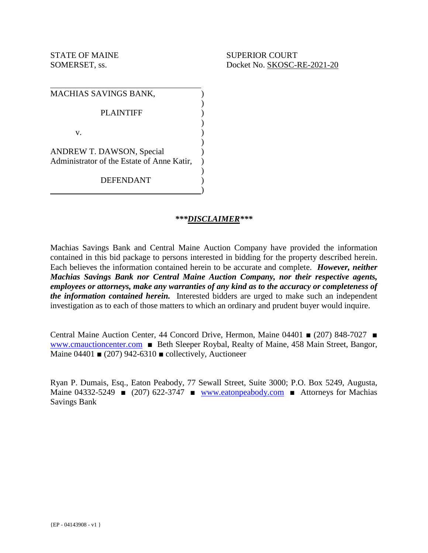| MACHIAS SAVINGS BANK,                      |  |
|--------------------------------------------|--|
| <b>PLAINTIFF</b>                           |  |
| V.                                         |  |
| ANDREW T. DAWSON, Special                  |  |
| Administrator of the Estate of Anne Katir, |  |
| <b>DEFENDANT</b>                           |  |

#### *\*\*\*DISCLAIMER\*\*\**

Machias Savings Bank and Central Maine Auction Company have provided the information contained in this bid package to persons interested in bidding for the property described herein. Each believes the information contained herein to be accurate and complete. *However, neither Machias Savings Bank nor Central Maine Auction Company, nor their respective agents, employees or attorneys, make any warranties of any kind as to the accuracy or completeness of the information contained herein.* Interested bidders are urged to make such an independent investigation as to each of those matters to which an ordinary and prudent buyer would inquire.

Central Maine Auction Center, 44 Concord Drive, Hermon, Maine 04401 ■ (207) 848-7027 ■ www.cmauctioncenter.com ■ Beth Sleeper Roybal, Realty of Maine, 458 Main Street, Bangor, Maine  $04401 \equiv (207) 942-6310 \equiv \text{collectively, Auctioneer}$ 

Ryan P. Dumais, Esq., Eaton Peabody, 77 Sewall Street, Suite 3000; P.O. Box 5249, Augusta, Maine 04332-5249  $\bullet$  (207) 622-3747  $\bullet$  www.eatonpeabody.com  $\bullet$  Attorneys for Machias Savings Bank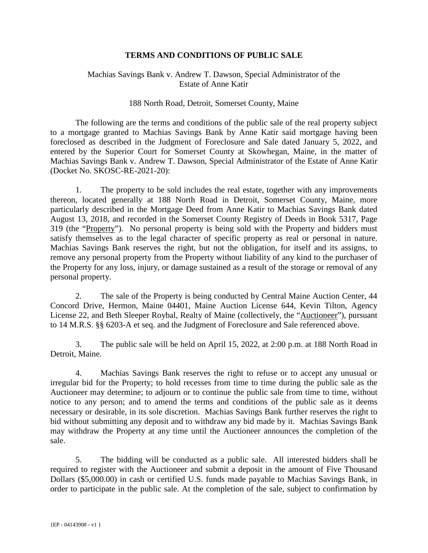#### **TERMS AND CONDITIONS OF PUBLIC SALE**

#### Machias Savings Bank v. Andrew T. Dawson, Special Administrator of the Estate of Anne Katir

#### 188 North Road, Detroit, Somerset County, Maine

 The following are the terms and conditions of the public sale of the real property subject to a mortgage granted to Machias Savings Bank by Anne Katir said mortgage having been foreclosed as described in the Judgment of Foreclosure and Sale dated January 5, 2022, and entered by the Superior Court for Somerset County at Skowhegan, Maine, in the matter of Machias Savings Bank v. Andrew T. Dawson, Special Administrator of the Estate of Anne Katir (Docket No. SKOSC-RE-2021-20):

1. The property to be sold includes the real estate, together with any improvements thereon, located generally at 188 North Road in Detroit, Somerset County, Maine, more particularly described in the Mortgage Deed from Anne Katir to Machias Savings Bank dated August 13, 2018, and recorded in the Somerset County Registry of Deeds in Book 5317, Page 319 (the "Property"). No personal property is being sold with the Property and bidders must satisfy themselves as to the legal character of specific property as real or personal in nature. Machias Savings Bank reserves the right, but not the obligation, for itself and its assigns, to remove any personal property from the Property without liability of any kind to the purchaser of the Property for any loss, injury, or damage sustained as a result of the storage or removal of any personal property.

2. The sale of the Property is being conducted by Central Maine Auction Center, 44 Concord Drive, Hermon, Maine 04401, Maine Auction License 644, Kevin Tilton, Agency License 22, and Beth Sleeper Roybal, Realty of Maine (collectively, the "Auctioneer"), pursuant to 14 M.R.S. §§ 6203-A et seq. and the Judgment of Foreclosure and Sale referenced above.

3. The public sale will be held on April 15, 2022, at 2:00 p.m. at 188 North Road in Detroit, Maine.

4. Machias Savings Bank reserves the right to refuse or to accept any unusual or irregular bid for the Property; to hold recesses from time to time during the public sale as the Auctioneer may determine; to adjourn or to continue the public sale from time to time, without notice to any person; and to amend the terms and conditions of the public sale as it deems necessary or desirable, in its sole discretion. Machias Savings Bank further reserves the right to bid without submitting any deposit and to withdraw any bid made by it. Machias Savings Bank may withdraw the Property at any time until the Auctioneer announces the completion of the sale.

5. The bidding will be conducted as a public sale. All interested bidders shall be required to register with the Auctioneer and submit a deposit in the amount of Five Thousand Dollars (\$5,000.00) in cash or certified U.S. funds made payable to Machias Savings Bank, in order to participate in the public sale. At the completion of the sale, subject to confirmation by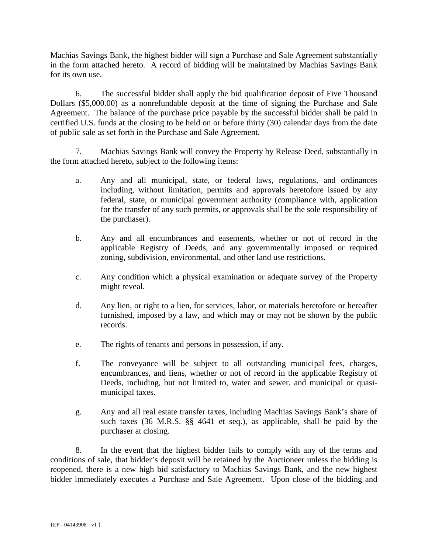Machias Savings Bank, the highest bidder will sign a Purchase and Sale Agreement substantially in the form attached hereto. A record of bidding will be maintained by Machias Savings Bank for its own use.

6. The successful bidder shall apply the bid qualification deposit of Five Thousand Dollars (\$5,000.00) as a nonrefundable deposit at the time of signing the Purchase and Sale Agreement. The balance of the purchase price payable by the successful bidder shall be paid in certified U.S. funds at the closing to be held on or before thirty (30) calendar days from the date of public sale as set forth in the Purchase and Sale Agreement.

7. Machias Savings Bank will convey the Property by Release Deed, substantially in the form attached hereto, subject to the following items:

- a. Any and all municipal, state, or federal laws, regulations, and ordinances including, without limitation, permits and approvals heretofore issued by any federal, state, or municipal government authority (compliance with, application for the transfer of any such permits, or approvals shall be the sole responsibility of the purchaser).
- b. Any and all encumbrances and easements, whether or not of record in the applicable Registry of Deeds, and any governmentally imposed or required zoning, subdivision, environmental, and other land use restrictions.
- c. Any condition which a physical examination or adequate survey of the Property might reveal.
- d. Any lien, or right to a lien, for services, labor, or materials heretofore or hereafter furnished, imposed by a law, and which may or may not be shown by the public records.
- e. The rights of tenants and persons in possession, if any.
- f. The conveyance will be subject to all outstanding municipal fees, charges, encumbrances, and liens, whether or not of record in the applicable Registry of Deeds, including, but not limited to, water and sewer, and municipal or quasimunicipal taxes.
- g. Any and all real estate transfer taxes, including Machias Savings Bank's share of such taxes (36 M.R.S. §§ 4641 et seq.), as applicable, shall be paid by the purchaser at closing.

8. In the event that the highest bidder fails to comply with any of the terms and conditions of sale, that bidder's deposit will be retained by the Auctioneer unless the bidding is reopened, there is a new high bid satisfactory to Machias Savings Bank, and the new highest bidder immediately executes a Purchase and Sale Agreement. Upon close of the bidding and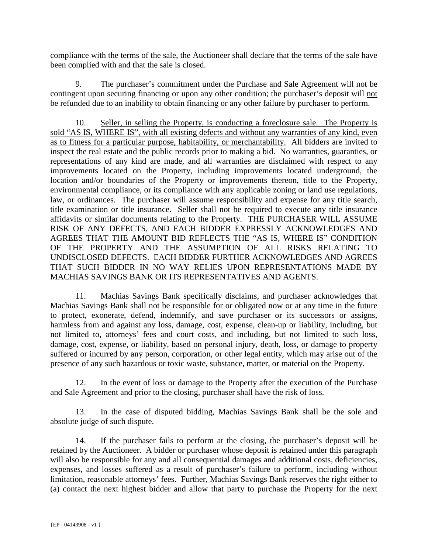compliance with the terms of the sale, the Auctioneer shall declare that the terms of the sale have been complied with and that the sale is closed.

9. The purchaser's commitment under the Purchase and Sale Agreement will not be contingent upon securing financing or upon any other condition; the purchaser's deposit will not be refunded due to an inability to obtain financing or any other failure by purchaser to perform.

10. Seller, in selling the Property, is conducting a foreclosure sale. The Property is sold "AS IS, WHERE IS", with all existing defects and without any warranties of any kind, even as to fitness for a particular purpose, habitability, or merchantability. All bidders are invited to inspect the real estate and the public records prior to making a bid. No warranties, guaranties, or representations of any kind are made, and all warranties are disclaimed with respect to any improvements located on the Property, including improvements located underground, the location and/or boundaries of the Property or improvements thereon, title to the Property, environmental compliance, or its compliance with any applicable zoning or land use regulations, law, or ordinances. The purchaser will assume responsibility and expense for any title search, title examination or title insurance. Seller shall not be required to execute any title insurance affidavits or similar documents relating to the Property. THE PURCHASER WILL ASSUME RISK OF ANY DEFECTS, AND EACH BIDDER EXPRESSLY ACKNOWLEDGES AND AGREES THAT THE AMOUNT BID REFLECTS THE "AS IS, WHERE IS" CONDITION OF THE PROPERTY AND THE ASSUMPTION OF ALL RISKS RELATING TO UNDISCLOSED DEFECTS. EACH BIDDER FURTHER ACKNOWLEDGES AND AGREES THAT SUCH BIDDER IN NO WAY RELIES UPON REPRESENTATIONS MADE BY MACHIAS SAVINGS BANK OR ITS REPRESENTATIVES AND AGENTS.

11. Machias Savings Bank specifically disclaims, and purchaser acknowledges that Machias Savings Bank shall not be responsible for or obligated now or at any time in the future to protect, exonerate, defend, indemnify, and save purchaser or its successors or assigns, harmless from and against any loss, damage, cost, expense, clean-up or liability, including, but not limited to, attorneys' fees and court costs, and including, but not limited to such loss, damage, cost, expense, or liability, based on personal injury, death, loss, or damage to property suffered or incurred by any person, corporation, or other legal entity, which may arise out of the presence of any such hazardous or toxic waste, substance, matter, or material on the Property.

12. In the event of loss or damage to the Property after the execution of the Purchase and Sale Agreement and prior to the closing, purchaser shall have the risk of loss.

13. In the case of disputed bidding, Machias Savings Bank shall be the sole and absolute judge of such dispute.

14. If the purchaser fails to perform at the closing, the purchaser's deposit will be retained by the Auctioneer. A bidder or purchaser whose deposit is retained under this paragraph will also be responsible for any and all consequential damages and additional costs, deficiencies, expenses, and losses suffered as a result of purchaser's failure to perform, including without limitation, reasonable attorneys' fees. Further, Machias Savings Bank reserves the right either to (a) contact the next highest bidder and allow that party to purchase the Property for the next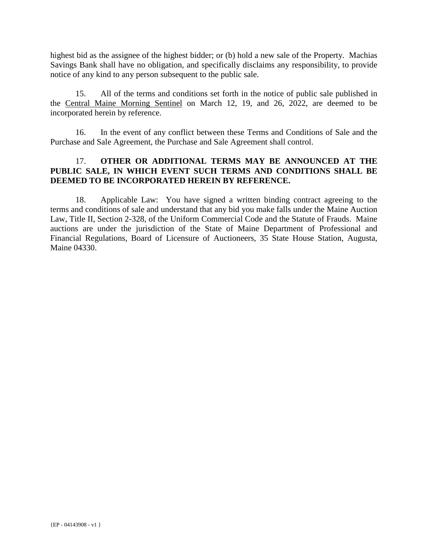highest bid as the assignee of the highest bidder; or (b) hold a new sale of the Property. Machias Savings Bank shall have no obligation, and specifically disclaims any responsibility, to provide notice of any kind to any person subsequent to the public sale.

15. All of the terms and conditions set forth in the notice of public sale published in the Central Maine Morning Sentinel on March 12, 19, and 26, 2022, are deemed to be incorporated herein by reference.

16. In the event of any conflict between these Terms and Conditions of Sale and the Purchase and Sale Agreement, the Purchase and Sale Agreement shall control.

#### 17. **OTHER OR ADDITIONAL TERMS MAY BE ANNOUNCED AT THE PUBLIC SALE, IN WHICH EVENT SUCH TERMS AND CONDITIONS SHALL BE DEEMED TO BE INCORPORATED HEREIN BY REFERENCE.**

18. Applicable Law: You have signed a written binding contract agreeing to the terms and conditions of sale and understand that any bid you make falls under the Maine Auction Law, Title II, Section 2-328, of the Uniform Commercial Code and the Statute of Frauds. Maine auctions are under the jurisdiction of the State of Maine Department of Professional and Financial Regulations, Board of Licensure of Auctioneers, 35 State House Station, Augusta, Maine 04330.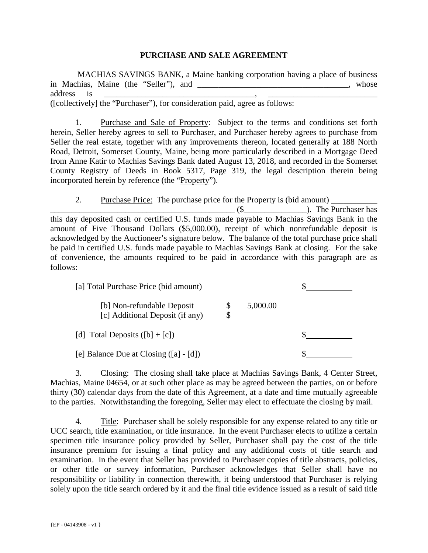#### **PURCHASE AND SALE AGREEMENT**

 MACHIAS SAVINGS BANK, a Maine banking corporation having a place of business in Machias, Maine (the "Seller"), and \_\_\_\_\_\_\_\_\_\_\_\_\_\_\_\_\_\_\_\_\_\_\_\_\_\_\_\_\_\_\_\_, whose address is \_\_\_\_\_\_\_\_\_\_\_\_\_\_\_\_\_\_\_\_\_\_\_\_\_\_\_\_\_\_\_\_\_\_\_\_, \_\_\_\_\_\_\_\_\_\_\_\_\_\_\_\_\_\_\_\_\_\_\_\_\_\_ ([collectively] the "Purchaser"), for consideration paid, agree as follows:

1. Purchase and Sale of Property: Subject to the terms and conditions set forth herein, Seller hereby agrees to sell to Purchaser, and Purchaser hereby agrees to purchase from Seller the real estate, together with any improvements thereon, located generally at 188 North Road, Detroit, Somerset County, Maine, being more particularly described in a Mortgage Deed from Anne Katir to Machias Savings Bank dated August 13, 2018, and recorded in the Somerset County Registry of Deeds in Book 5317, Page 319, the legal description therein being incorporated herein by reference (the "Property").

2. Purchase Price: The purchase price for the Property is (bid amount) \_\_\_\_\_\_\_\_\_\_\_ \_\_\_\_\_\_\_\_\_\_\_\_\_\_\_\_\_\_\_\_\_\_\_\_\_\_\_\_\_\_\_\_\_\_\_\_\_\_\_\_\_\_\_\_ (\$\_\_\_\_\_\_\_\_\_\_\_\_\_\_\_). The Purchaser has this day deposited cash or certified U.S. funds made payable to Machias Savings Bank in the amount of Five Thousand Dollars (\$5,000.00), receipt of which nonrefundable deposit is acknowledged by the Auctioneer's signature below. The balance of the total purchase price shall be paid in certified U.S. funds made payable to Machias Savings Bank at closing. For the sake of convenience, the amounts required to be paid in accordance with this paragraph are as follows:

| [a] Total Purchase Price (bid amount)                         |          |
|---------------------------------------------------------------|----------|
| [b] Non-refundable Deposit<br>[c] Additional Deposit (if any) | 5,000.00 |
| [d] Total Deposits $([b] + [c])$                              |          |
| [e] Balance Due at Closing $([a] - [d])$                      |          |

3. Closing: The closing shall take place at Machias Savings Bank, 4 Center Street, Machias, Maine 04654, or at such other place as may be agreed between the parties, on or before thirty (30) calendar days from the date of this Agreement, at a date and time mutually agreeable to the parties. Notwithstanding the foregoing, Seller may elect to effectuate the closing by mail.

4. Title: Purchaser shall be solely responsible for any expense related to any title or UCC search, title examination, or title insurance. In the event Purchaser elects to utilize a certain specimen title insurance policy provided by Seller, Purchaser shall pay the cost of the title insurance premium for issuing a final policy and any additional costs of title search and examination. In the event that Seller has provided to Purchaser copies of title abstracts, policies, or other title or survey information, Purchaser acknowledges that Seller shall have no responsibility or liability in connection therewith, it being understood that Purchaser is relying solely upon the title search ordered by it and the final title evidence issued as a result of said title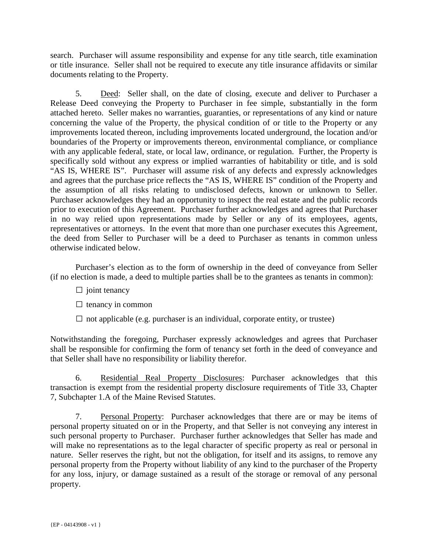search. Purchaser will assume responsibility and expense for any title search, title examination or title insurance. Seller shall not be required to execute any title insurance affidavits or similar documents relating to the Property.

5. Deed: Seller shall, on the date of closing, execute and deliver to Purchaser a Release Deed conveying the Property to Purchaser in fee simple, substantially in the form attached hereto. Seller makes no warranties, guaranties, or representations of any kind or nature concerning the value of the Property, the physical condition of or title to the Property or any improvements located thereon, including improvements located underground, the location and/or boundaries of the Property or improvements thereon, environmental compliance, or compliance with any applicable federal, state, or local law, ordinance, or regulation. Further, the Property is specifically sold without any express or implied warranties of habitability or title, and is sold "AS IS, WHERE IS". Purchaser will assume risk of any defects and expressly acknowledges and agrees that the purchase price reflects the "AS IS, WHERE IS" condition of the Property and the assumption of all risks relating to undisclosed defects, known or unknown to Seller. Purchaser acknowledges they had an opportunity to inspect the real estate and the public records prior to execution of this Agreement. Purchaser further acknowledges and agrees that Purchaser in no way relied upon representations made by Seller or any of its employees, agents, representatives or attorneys. In the event that more than one purchaser executes this Agreement, the deed from Seller to Purchaser will be a deed to Purchaser as tenants in common unless otherwise indicated below.

 Purchaser's election as to the form of ownership in the deed of conveyance from Seller (if no election is made, a deed to multiple parties shall be to the grantees as tenants in common):

- $\Box$  joint tenancy
- $\square$  tenancy in common
- $\Box$  not applicable (e.g. purchaser is an individual, corporate entity, or trustee)

Notwithstanding the foregoing, Purchaser expressly acknowledges and agrees that Purchaser shall be responsible for confirming the form of tenancy set forth in the deed of conveyance and that Seller shall have no responsibility or liability therefor.

6. Residential Real Property Disclosures: Purchaser acknowledges that this transaction is exempt from the residential property disclosure requirements of Title 33, Chapter 7, Subchapter 1.A of the Maine Revised Statutes.

7. Personal Property: Purchaser acknowledges that there are or may be items of personal property situated on or in the Property, and that Seller is not conveying any interest in such personal property to Purchaser. Purchaser further acknowledges that Seller has made and will make no representations as to the legal character of specific property as real or personal in nature. Seller reserves the right, but not the obligation, for itself and its assigns, to remove any personal property from the Property without liability of any kind to the purchaser of the Property for any loss, injury, or damage sustained as a result of the storage or removal of any personal property.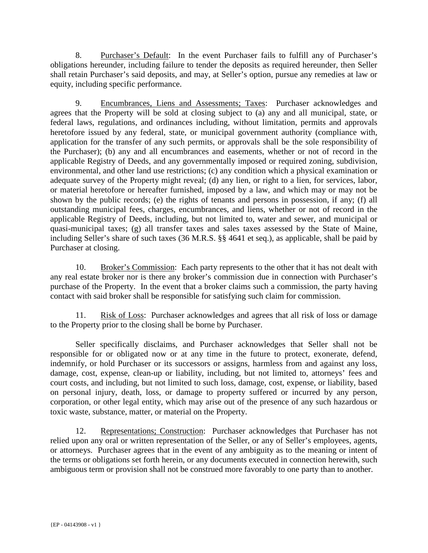8. Purchaser's Default: In the event Purchaser fails to fulfill any of Purchaser's obligations hereunder, including failure to tender the deposits as required hereunder, then Seller shall retain Purchaser's said deposits, and may, at Seller's option, pursue any remedies at law or equity, including specific performance.

9. Encumbrances, Liens and Assessments; Taxes: Purchaser acknowledges and agrees that the Property will be sold at closing subject to (a) any and all municipal, state, or federal laws, regulations, and ordinances including, without limitation, permits and approvals heretofore issued by any federal, state, or municipal government authority (compliance with, application for the transfer of any such permits, or approvals shall be the sole responsibility of the Purchaser); (b) any and all encumbrances and easements, whether or not of record in the applicable Registry of Deeds, and any governmentally imposed or required zoning, subdivision, environmental, and other land use restrictions; (c) any condition which a physical examination or adequate survey of the Property might reveal; (d) any lien, or right to a lien, for services, labor, or material heretofore or hereafter furnished, imposed by a law, and which may or may not be shown by the public records; (e) the rights of tenants and persons in possession, if any; (f) all outstanding municipal fees, charges, encumbrances, and liens, whether or not of record in the applicable Registry of Deeds, including, but not limited to, water and sewer, and municipal or quasi-municipal taxes; (g) all transfer taxes and sales taxes assessed by the State of Maine, including Seller's share of such taxes (36 M.R.S. §§ 4641 et seq.), as applicable, shall be paid by Purchaser at closing.

10. Broker's Commission: Each party represents to the other that it has not dealt with any real estate broker nor is there any broker's commission due in connection with Purchaser's purchase of the Property. In the event that a broker claims such a commission, the party having contact with said broker shall be responsible for satisfying such claim for commission.

11. Risk of Loss: Purchaser acknowledges and agrees that all risk of loss or damage to the Property prior to the closing shall be borne by Purchaser.

Seller specifically disclaims, and Purchaser acknowledges that Seller shall not be responsible for or obligated now or at any time in the future to protect, exonerate, defend, indemnify, or hold Purchaser or its successors or assigns, harmless from and against any loss, damage, cost, expense, clean-up or liability, including, but not limited to, attorneys' fees and court costs, and including, but not limited to such loss, damage, cost, expense, or liability, based on personal injury, death, loss, or damage to property suffered or incurred by any person, corporation, or other legal entity, which may arise out of the presence of any such hazardous or toxic waste, substance, matter, or material on the Property.

12. Representations; Construction: Purchaser acknowledges that Purchaser has not relied upon any oral or written representation of the Seller, or any of Seller's employees, agents, or attorneys. Purchaser agrees that in the event of any ambiguity as to the meaning or intent of the terms or obligations set forth herein, or any documents executed in connection herewith, such ambiguous term or provision shall not be construed more favorably to one party than to another.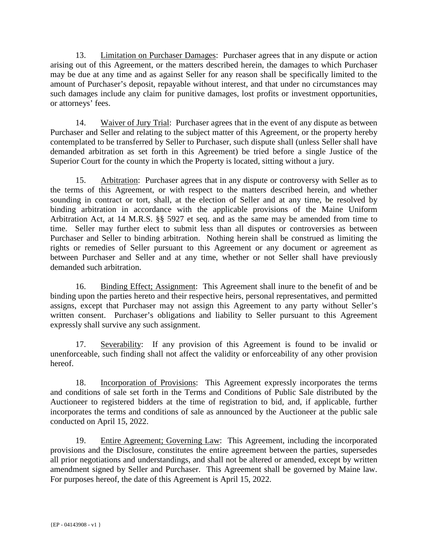13. Limitation on Purchaser Damages: Purchaser agrees that in any dispute or action arising out of this Agreement, or the matters described herein, the damages to which Purchaser may be due at any time and as against Seller for any reason shall be specifically limited to the amount of Purchaser's deposit, repayable without interest, and that under no circumstances may such damages include any claim for punitive damages, lost profits or investment opportunities, or attorneys' fees.

14. Waiver of Jury Trial: Purchaser agrees that in the event of any dispute as between Purchaser and Seller and relating to the subject matter of this Agreement, or the property hereby contemplated to be transferred by Seller to Purchaser, such dispute shall (unless Seller shall have demanded arbitration as set forth in this Agreement) be tried before a single Justice of the Superior Court for the county in which the Property is located, sitting without a jury.

15. Arbitration: Purchaser agrees that in any dispute or controversy with Seller as to the terms of this Agreement, or with respect to the matters described herein, and whether sounding in contract or tort, shall, at the election of Seller and at any time, be resolved by binding arbitration in accordance with the applicable provisions of the Maine Uniform Arbitration Act, at 14 M.R.S. §§ 5927 et seq. and as the same may be amended from time to time. Seller may further elect to submit less than all disputes or controversies as between Purchaser and Seller to binding arbitration. Nothing herein shall be construed as limiting the rights or remedies of Seller pursuant to this Agreement or any document or agreement as between Purchaser and Seller and at any time, whether or not Seller shall have previously demanded such arbitration.

16. Binding Effect; Assignment: This Agreement shall inure to the benefit of and be binding upon the parties hereto and their respective heirs, personal representatives, and permitted assigns, except that Purchaser may not assign this Agreement to any party without Seller's written consent. Purchaser's obligations and liability to Seller pursuant to this Agreement expressly shall survive any such assignment.

17. Severability: If any provision of this Agreement is found to be invalid or unenforceable, such finding shall not affect the validity or enforceability of any other provision hereof.

18. Incorporation of Provisions: This Agreement expressly incorporates the terms and conditions of sale set forth in the Terms and Conditions of Public Sale distributed by the Auctioneer to registered bidders at the time of registration to bid, and, if applicable, further incorporates the terms and conditions of sale as announced by the Auctioneer at the public sale conducted on April 15, 2022.

19. Entire Agreement; Governing Law: This Agreement, including the incorporated provisions and the Disclosure, constitutes the entire agreement between the parties, supersedes all prior negotiations and understandings, and shall not be altered or amended, except by written amendment signed by Seller and Purchaser. This Agreement shall be governed by Maine law. For purposes hereof, the date of this Agreement is April 15, 2022.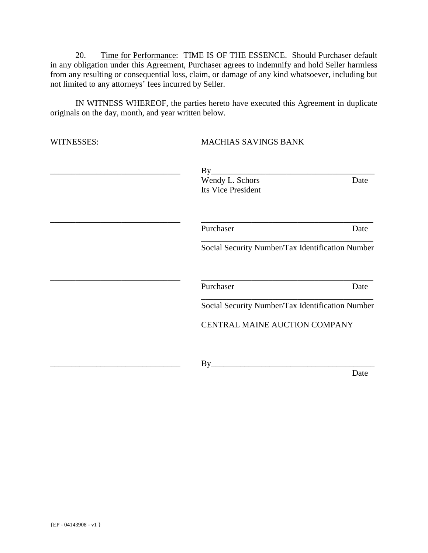20. Time for Performance: TIME IS OF THE ESSENCE. Should Purchaser default in any obligation under this Agreement, Purchaser agrees to indemnify and hold Seller harmless from any resulting or consequential loss, claim, or damage of any kind whatsoever, including but not limited to any attorneys' fees incurred by Seller.

IN WITNESS WHEREOF, the parties hereto have executed this Agreement in duplicate originals on the day, month, and year written below.

| WITNESSES: | <b>MACHIAS SAVINGS BANK</b>                      |      |
|------------|--------------------------------------------------|------|
|            | By<br>Wendy L. Schors                            | Date |
|            | Its Vice President                               |      |
|            | Purchaser                                        | Date |
|            | Social Security Number/Tax Identification Number |      |
|            | Purchaser                                        | Date |
|            | Social Security Number/Tax Identification Number |      |
|            | CENTRAL MAINE AUCTION COMPANY                    |      |
|            | By                                               |      |
|            |                                                  | Date |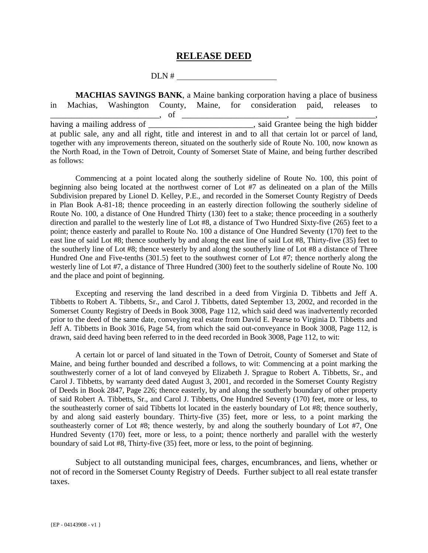#### **RELEASE DEED**

DLN #

 **MACHIAS SAVINGS BANK**, a Maine banking corporation having a place of business in Machias, Washington County, Maine, for consideration paid, releases to  $\frac{1}{\text{having a mailing address of}}$ , of  $\frac{1}{\text{using a main.}}$  $\frac{1}{\sqrt{1-\frac{1}{\sqrt{1-\frac{1}{\sqrt{1-\frac{1}{\sqrt{1-\frac{1}{\sqrt{1-\frac{1}{\sqrt{1-\frac{1}{\sqrt{1-\frac{1}{\sqrt{1-\frac{1}{\sqrt{1-\frac{1}{\sqrt{1-\frac{1}{\sqrt{1-\frac{1}{\sqrt{1-\frac{1}{\sqrt{1-\frac{1}{\sqrt{1-\frac{1}{\sqrt{1-\frac{1}{\sqrt{1-\frac{1}{\sqrt{1-\frac{1}{\sqrt{1-\frac{1}{\sqrt{1-\frac{1}{\sqrt{1-\frac{1}{\sqrt{1-\frac{1}{\sqrt{1-\frac{1}{\sqrt{1-\frac{1}{\sqrt{1-\frac{1$ at public sale, any and all right, title and interest in and to all that certain lot or parcel of land, together with any improvements thereon, situated on the southerly side of Route No. 100, now known as the North Road, in the Town of Detroit, County of Somerset State of Maine, and being further described as follows:

Commencing at a point located along the southerly sideline of Route No. 100, this point of beginning also being located at the northwest corner of Lot #7 as delineated on a plan of the Mills Subdivision prepared by Lionel D. Kelley, P.E., and recorded in the Somerset County Registry of Deeds in Plan Book A-81-18; thence proceeding in an easterly direction following the southerly sideline of Route No. 100, a distance of One Hundred Thirty (130) feet to a stake; thence proceeding in a southerly direction and parallel to the westerly line of Lot #8, a distance of Two Hundred Sixty-five (265) feet to a point; thence easterly and parallel to Route No. 100 a distance of One Hundred Seventy (170) feet to the east line of said Lot #8; thence southerly by and along the east line of said Lot #8, Thirty-five (35) feet to the southerly line of Lot #8; thence westerly by and along the southerly line of Lot #8 a distance of Three Hundred One and Five-tenths (301.5) feet to the southwest corner of Lot #7; thence northerly along the westerly line of Lot #7, a distance of Three Hundred (300) feet to the southerly sideline of Route No. 100 and the place and point of beginning.

Excepting and reserving the land described in a deed from Virginia D. Tibbetts and Jeff A. Tibbetts to Robert A. Tibbetts, Sr., and Carol J. Tibbetts, dated September 13, 2002, and recorded in the Somerset County Registry of Deeds in Book 3008, Page 112, which said deed was inadvertently recorded prior to the deed of the same date, conveying real estate from David E. Pearse to Virginia D. Tibbetts and Jeff A. Tibbetts in Book 3016, Page 54, from which the said out-conveyance in Book 3008, Page 112, is drawn, said deed having been referred to in the deed recorded in Book 3008, Page 112, to wit:

A certain lot or parcel of land situated in the Town of Detroit, County of Somerset and State of Maine, and being further bounded and described a follows, to wit: Commencing at a point marking the southwesterly corner of a lot of land conveyed by Elizabeth J. Sprague to Robert A. Tibbetts, Sr., and Carol J. Tibbetts, by warranty deed dated August 3, 2001, and recorded in the Somerset County Registry of Deeds in Book 2847, Page 226; thence easterly, by and along the southerly boundary of other property of said Robert A. Tibbetts, Sr., and Carol J. Tibbetts, One Hundred Seventy (170) feet, more or less, to the southeasterly corner of said Tibbetts lot located in the easterly boundary of Lot #8; thence southerly, by and along said easterly boundary. Thirty-five (35) feet, more or less, to a point marking the southeasterly corner of Lot #8; thence westerly, by and along the southerly boundary of Lot #7, One Hundred Seventy (170) feet, more or less, to a point; thence northerly and parallel with the westerly boundary of said Lot #8, Thirty-five (35) feet, more or less, to the point of beginning.

 Subject to all outstanding municipal fees, charges, encumbrances, and liens, whether or not of record in the Somerset County Registry of Deeds. Further subject to all real estate transfer taxes.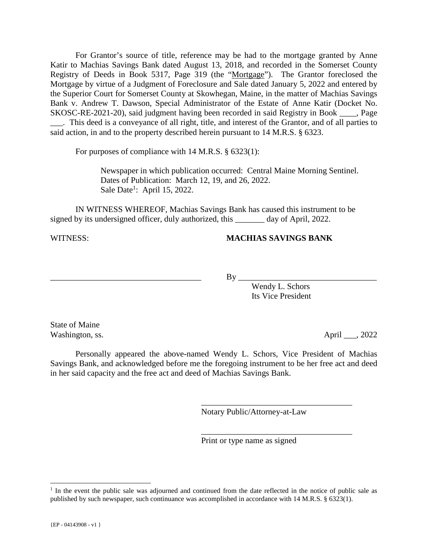For Grantor's source of title, reference may be had to the mortgage granted by Anne Katir to Machias Savings Bank dated August 13, 2018, and recorded in the Somerset County Registry of Deeds in Book 5317, Page 319 (the "Mortgage"). The Grantor foreclosed the Mortgage by virtue of a Judgment of Foreclosure and Sale dated January 5, 2022 and entered by the Superior Court for Somerset County at Skowhegan, Maine, in the matter of Machias Savings Bank v. Andrew T. Dawson, Special Administrator of the Estate of Anne Katir (Docket No. SKOSC-RE-2021-20), said judgment having been recorded in said Registry in Book \_\_\_\_, Page \_\_\_. This deed is a conveyance of all right, title, and interest of the Grantor, and of all parties to said action, in and to the property described herein pursuant to 14 M.R.S. § 6323.

For purposes of compliance with 14 M.R.S. § 6323(1):

Newspaper in which publication occurred: Central Maine Morning Sentinel. Dates of Publication: March 12, 19, and 26, 2022. Sale Date<sup>1</sup>: April 15, 2022.

 IN WITNESS WHEREOF, Machias Savings Bank has caused this instrument to be signed by its undersigned officer, duly authorized, this \_\_\_\_\_\_\_ day of April, 2022.

#### WITNESS: **MACHIAS SAVINGS BANK**

\_\_\_\_\_\_\_\_\_\_\_\_\_\_\_\_\_\_\_\_\_\_\_\_\_\_\_\_\_\_\_\_\_\_\_\_ By \_\_\_\_\_\_\_\_\_\_\_\_\_\_\_\_\_\_\_\_\_\_\_\_\_\_\_\_\_\_\_\_\_

 Wendy L. Schors Its Vice President

State of Maine Washington, ss.  $\Delta \text{pril}$ , 2022

 Personally appeared the above-named Wendy L. Schors, Vice President of Machias Savings Bank, and acknowledged before me the foregoing instrument to be her free act and deed in her said capacity and the free act and deed of Machias Savings Bank.

 $\overline{\phantom{a}}$  , which is a set of the set of the set of the set of the set of the set of the set of the set of the set of the set of the set of the set of the set of the set of the set of the set of the set of the set of th

 $\overline{\phantom{a}}$  , which is a set of the set of the set of the set of the set of the set of the set of the set of the set of the set of the set of the set of the set of the set of the set of the set of the set of the set of th

Notary Public/Attorney-at-Law

Print or type name as signed

÷,

<sup>&</sup>lt;sup>1</sup> In the event the public sale was adjourned and continued from the date reflected in the notice of public sale as published by such newspaper, such continuance was accomplished in accordance with 14 M.R.S. § 6323(1).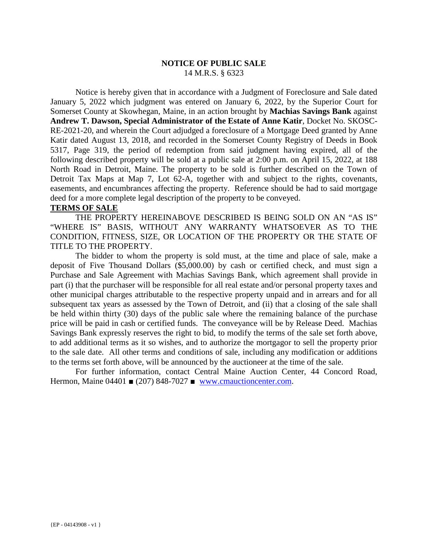#### **NOTICE OF PUBLIC SALE** 14 M.R.S. § 6323

 Notice is hereby given that in accordance with a Judgment of Foreclosure and Sale dated January 5, 2022 which judgment was entered on January 6, 2022, by the Superior Court for Somerset County at Skowhegan, Maine, in an action brought by **Machias Savings Bank** against **Andrew T. Dawson, Special Administrator of the Estate of Anne Katir**, Docket No. SKOSC-RE-2021-20, and wherein the Court adjudged a foreclosure of a Mortgage Deed granted by Anne Katir dated August 13, 2018, and recorded in the Somerset County Registry of Deeds in Book 5317, Page 319, the period of redemption from said judgment having expired, all of the following described property will be sold at a public sale at 2:00 p.m. on April 15, 2022, at 188 North Road in Detroit, Maine. The property to be sold is further described on the Town of Detroit Tax Maps at Map 7, Lot 62-A, together with and subject to the rights, covenants, easements, and encumbrances affecting the property. Reference should be had to said mortgage deed for a more complete legal description of the property to be conveyed.

#### **TERMS OF SALE**

THE PROPERTY HEREINABOVE DESCRIBED IS BEING SOLD ON AN "AS IS" "WHERE IS" BASIS, WITHOUT ANY WARRANTY WHATSOEVER AS TO THE CONDITION, FITNESS, SIZE, OR LOCATION OF THE PROPERTY OR THE STATE OF TITLE TO THE PROPERTY.

The bidder to whom the property is sold must, at the time and place of sale, make a deposit of Five Thousand Dollars (\$5,000.00) by cash or certified check, and must sign a Purchase and Sale Agreement with Machias Savings Bank, which agreement shall provide in part (i) that the purchaser will be responsible for all real estate and/or personal property taxes and other municipal charges attributable to the respective property unpaid and in arrears and for all subsequent tax years as assessed by the Town of Detroit, and (ii) that a closing of the sale shall be held within thirty (30) days of the public sale where the remaining balance of the purchase price will be paid in cash or certified funds. The conveyance will be by Release Deed. Machias Savings Bank expressly reserves the right to bid, to modify the terms of the sale set forth above, to add additional terms as it so wishes, and to authorize the mortgagor to sell the property prior to the sale date. All other terms and conditions of sale, including any modification or additions to the terms set forth above, will be announced by the auctioneer at the time of the sale.

For further information, contact Central Maine Auction Center, 44 Concord Road, Hermon, Maine 04401 ■ (207) 848-7027 ■ www.cmauctioncenter.com.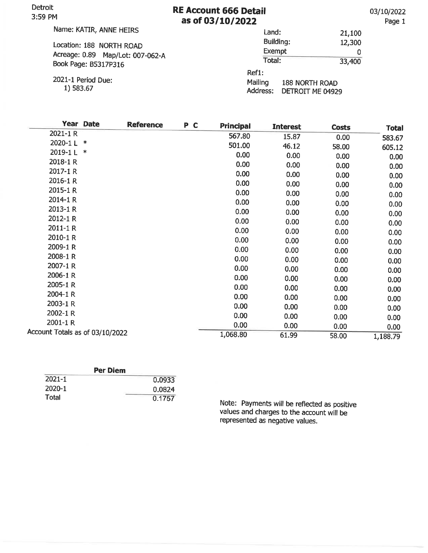Detroit **RE Account 666 Detail** 3:59 PM as of 03/10/2022 Name: KATIR, ANNE HEIRS Land: Building: Location: 188 NORTH ROAD Exempt Acreage: 0.89 Map/Lot: 007-062-A Total: Book Page: B5317P316 Ref1:

2021-1 Period Due: 1) 583.67

Mailing **188 NORTH ROAD** 

Address: DETROIT ME 04929

| Year Date                       | <b>Reference</b> | P C | <b>Principal</b>  | <b>Interest</b> | <b>Costs</b> | <b>Total</b> |
|---------------------------------|------------------|-----|-------------------|-----------------|--------------|--------------|
| 2021-1 R                        |                  |     | 567.80            | 15.87           | 0.00         | 583.67       |
| 2020-1L<br>∗                    |                  |     | 501.00            | 46.12           | 58.00        |              |
| 2019-1L<br>∗                    |                  |     | 0.00              | 0.00            |              | 605.12       |
| 2018-1 R                        |                  |     |                   |                 | 0.00         | 0.00         |
| 2017-1 R                        |                  |     | 0.00              | 0.00            | 0.00         | 0.00         |
|                                 |                  |     | 0.00              | 0.00            | 0.00         | 0.00         |
| 2016-1 R                        |                  |     | 0.00              | 0.00            | 0.00         | 0.00         |
| 2015-1 R                        |                  |     | 0.00              | 0.00            | 0.00         | 0.00         |
| 2014-1 R                        |                  |     | 0.00              | 0.00            | 0.00         | 0.00         |
| 2013-1 R                        |                  |     | 0.00 <sub>1</sub> | 0.00            | 0.00         | 0.00         |
| 2012-1 R                        |                  |     | 0.00              | 0.00            | 0.00         | 0.00         |
| 2011-1 R                        |                  |     | 0.00              | 0.00            | 0.00         | 0.00         |
| 2010-1 R                        |                  |     | 0.00              | 0.00            | 0.00         | 0.00         |
| 2009-1R                         |                  |     | 0.00              | 0.00            | 0.00         | 0.00         |
| 2008-1 R                        |                  |     | 0.00              | 0.00            | 0.00         | 0.00         |
| 2007-1 R                        |                  |     | 0.00              | 0.00            | 0.00         | 0.00         |
| 2006-1 R                        |                  |     | 0.00              | 0.00            | 0.00         | 0.00         |
| 2005-1 R                        |                  |     | 0.00              | 0.00            | 0.00         |              |
| 2004-1R                         |                  |     | 0.00              |                 |              | 0.00         |
| 2003-1 R                        |                  |     |                   | 0.00            | 0.00         | 0.00         |
| 2002-1 R                        |                  |     | 0.00              | 0.00            | 0.00         | 0.00         |
|                                 |                  |     | 0.00              | 0.00            | 0.00         | 0.00         |
| 2001-1 R                        |                  |     | 0.00              | 0.00            | 0.00         | 0.00         |
| Account Totals as of 03/10/2022 |                  |     | 1,068.80          | 61.99           | 58.00        | 1,188.79     |
|                                 |                  |     |                   |                 |              |              |

| <b>Per Diem</b> |        |
|-----------------|--------|
| $2021 - 1$      | 0.0933 |
| 2020-1          | 0.0824 |
| <b>Total</b>    | 0.1757 |

Note: Payments will be reflected as positive values and charges to the account will be represented as negative values.

03/10/2022

Page 1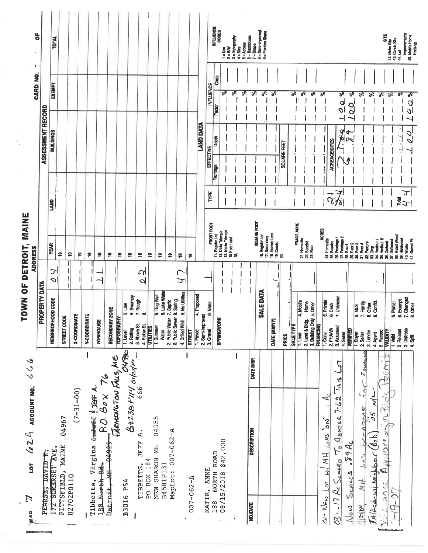| 979<br>$\ell_{\ell}$ 2 $A$ account no.<br>LOT<br>$\mathbb{N}$<br><b>GVK</b>                   | 50<br>TOWN                                                         |                             | MAINE<br>DETROIT,<br><b>ADDRESS</b>                                                                                                                                                                                                                                                                                                                                                                                           |             | í,                      |                            | ٠<br>CARD NO. |                                                                                                                             |
|-----------------------------------------------------------------------------------------------|--------------------------------------------------------------------|-----------------------------|-------------------------------------------------------------------------------------------------------------------------------------------------------------------------------------------------------------------------------------------------------------------------------------------------------------------------------------------------------------------------------------------------------------------------------|-------------|-------------------------|----------------------------|---------------|-----------------------------------------------------------------------------------------------------------------------------|
| <b>TAVIDE:</b><br>PEARSE,                                                                     | <b>PROPERTY DATA</b>                                               |                             |                                                                                                                                                                                                                                                                                                                                                                                                                               |             | ASSESSMENT RECORD       |                            |               | 능                                                                                                                           |
| 172 SOMERSET AVE.                                                                             | NEIGHBORHOOD CODE                                                  | ᄀ<br>$\infty$               | <b>YEAR</b>                                                                                                                                                                                                                                                                                                                                                                                                                   | <b>GNA1</b> | <b>BUILDINGS</b>        |                            | EXEMPT        | <b>TOTAL</b>                                                                                                                |
| 04967<br><b>MAINE</b><br>PITTSFIELD,                                                          | STREET CODE                                                        |                             | e                                                                                                                                                                                                                                                                                                                                                                                                                             |             |                         |                            |               |                                                                                                                             |
| $(7 - 31 - 00)$<br>B2702P0110                                                                 | <b>X-COORDINATE</b>                                                |                             | £<br>\$                                                                                                                                                                                                                                                                                                                                                                                                                       |             |                         |                            |               |                                                                                                                             |
| Virgina &<br>Tibbetts,                                                                        | Y-COORDINATE                                                       |                             | £,                                                                                                                                                                                                                                                                                                                                                                                                                            |             |                         |                            |               |                                                                                                                             |
| P.O. Box 76<br>WEE FIGGE A<br>188 North Rd                                                    | <b>ZONING/USE</b>                                                  |                             | e,                                                                                                                                                                                                                                                                                                                                                                                                                            |             |                         |                            |               |                                                                                                                             |
| <del>67678</del><br><b>FINT</b><br>D <u>etroit</u> ,                                          | <b>SECONDARY ZONE</b>                                              |                             | £,                                                                                                                                                                                                                                                                                                                                                                                                                            |             |                         |                            |               |                                                                                                                             |
| 1分か<br>FRENCTION FALLS, ME<br>B3016 P54                                                       | $\frac{10M}{10M}$<br>TOPOGRAPHY<br>1. Level                        |                             | $\tilde{=}$                                                                                                                                                                                                                                                                                                                                                                                                                   |             |                         |                            |               |                                                                                                                             |
| B423BP114 orlztlie                                                                            | Swampy<br>7. Rough<br>ه.<br>3. Above St.<br>2. Rolling             |                             | $\mathbf{e}$                                                                                                                                                                                                                                                                                                                                                                                                                  |             |                         |                            |               |                                                                                                                             |
| ä.<br><b>JEFF</b><br>TIBBETTS,                                                                | œ<br>4. Below St                                                   | $\alpha$<br>$\triangleleft$ | e                                                                                                                                                                                                                                                                                                                                                                                                                             |             |                         |                            |               |                                                                                                                             |
| 04955<br>SHARON ME<br>PO BOX 184<br>NEW                                                       | 5. Dug Well<br><b>UTILITIES</b><br>1. Summer                       |                             | e,                                                                                                                                                                                                                                                                                                                                                                                                                            |             |                         |                            |               |                                                                                                                             |
| B4581P131                                                                                     | 6. Lake Water<br>7. Septic<br>2. Public Water<br>Water             |                             | e,<br>e,                                                                                                                                                                                                                                                                                                                                                                                                                      |             |                         |                            |               |                                                                                                                             |
| $007 - 062 - A$<br>MapLot:                                                                    | 9. No Utilities<br>8. Spring<br>3. Public Sewer<br>4. Drilled Well | $\subset$<br>$\overline{u}$ | $\mathfrak{S}$                                                                                                                                                                                                                                                                                                                                                                                                                |             |                         |                            |               |                                                                                                                             |
| $007 - 062 - A$                                                                               | <b>STREET</b>                                                      |                             | e                                                                                                                                                                                                                                                                                                                                                                                                                             |             |                         |                            |               |                                                                                                                             |
|                                                                                               | 4. Proposed<br>1. Paved                                            |                             |                                                                                                                                                                                                                                                                                                                                                                                                                               |             | <b>LAND DATA</b>        |                            |               |                                                                                                                             |
| KATIR, ANNE                                                                                   | 9. None<br>2. Semi-Improved<br>3. Gravel                           |                             |                                                                                                                                                                                                                                                                                                                                                                                                                               |             | EFFECTIVE               |                            |               |                                                                                                                             |
| NORTH ROAD<br>188                                                                             | <b>SPRINGWORK</b>                                                  |                             |                                                                                                                                                                                                                                                                                                                                                                                                                               | TYPE        | Depth<br>Frontage       | <b>INFLUENCE</b><br>Factor | Code          | INFLUENCE<br>CODES                                                                                                          |
| \$42,000<br>08/15/2018                                                                        |                                                                    |                             | 11. Regular PCOT<br>  12. Regular Trangle<br>  12. Debis Trangle<br>  15. Regulard<br>  15.                                                                                                                                                                                                                                                                                                                                   |             |                         | $\frac{5}{6}$              |               | $\begin{array}{l} 1 = \mathsf{U}\mathbf{so} \\ 2 = \mathsf{RW} \\ 3 = \mathsf{Topography} \\ 4 = \mathsf{Sise} \end{array}$ |
|                                                                                               |                                                                    |                             |                                                                                                                                                                                                                                                                                                                                                                                                                               |             |                         | रू<br>$\frac{2}{\sqrt{6}}$ |               | $5 =$ Accass                                                                                                                |
| DATE INSP.<br><b>DESCRIPTION</b><br><b>NO.DATE</b>                                            |                                                                    |                             |                                                                                                                                                                                                                                                                                                                                                                                                                               |             |                         | $\mathcal{S}$              |               |                                                                                                                             |
|                                                                                               | <b>SALE DATA</b>                                                   |                             | $\begin{array}{ l }\n\hline\n16. \text{Regular Let} \\ \hline\n17. \text{Search} \\ \hline\n18. \text{Cross} \\ \hline\n19. \text{Cross} \\ \hline\n20. \text{Trans} \\ \hline\n\end{array}$                                                                                                                                                                                                                                  |             |                         | $\overline{\mathcal{E}}$   |               | $6 =$ Restrictors<br>7 = Shape<br>8 = Semi-Improved<br>9 = Frection Share                                                   |
|                                                                                               | DATE (MIM/YY)                                                      |                             |                                                                                                                                                                                                                                                                                                                                                                                                                               |             |                         | వి                         |               |                                                                                                                             |
|                                                                                               | <b>PRICE</b>                                                       |                             |                                                                                                                                                                                                                                                                                                                                                                                                                               |             | SQUARE FEET             |                            |               |                                                                                                                             |
|                                                                                               | SALE TYPE                                                          |                             |                                                                                                                                                                                                                                                                                                                                                                                                                               |             |                         | శ                          |               |                                                                                                                             |
|                                                                                               | 4. Mobile<br>Home<br>2. Land & Bldg.<br>$1.$ Land                  |                             | <b>FRACT, ACRE</b><br>22. BaseAt<br>23. Rear                                                                                                                                                                                                                                                                                                                                                                                  |             |                         | ४                          |               |                                                                                                                             |
|                                                                                               | 3. Building Only 5. Other<br><b>FINANCING</b>                      |                             |                                                                                                                                                                                                                                                                                                                                                                                                                               |             |                         | ४                          |               |                                                                                                                             |
| $\overline{A}$<br>$5 - 2$<br><b>SOFT</b><br>MH.<br>3<br>$L$ or<br>$\Delta t$ - $N_{\text{E}}$ | 5. Private<br>$1.$ Conv.                                           |                             | <b>ACRES</b>                                                                                                                                                                                                                                                                                                                                                                                                                  |             |                         | ಸ್                         |               |                                                                                                                             |
| ٦J<br>م<br><b>TAIS</b><br>$7 - 22$<br>ABUTER<br>$\mathbf{o}$<br>560260<br>03-17 Ac            | 6. Cash<br>7. Unknown<br>3. Assumed<br>2. FHAVA                    |                             | $\begin{array}{ll} \texttt{A}+\texttt{d} \texttt{me} \texttt{a} \texttt{a} \texttt{b} \texttt{c} \texttt{c} \texttt{c} \texttt{d} \texttt{c} \texttt{d} \texttt{d} \texttt{c} \texttt{d} \texttt{d} \texttt{c} \texttt{d} \texttt{d} \texttt{d} \texttt{d} \texttt{d} \texttt{d} \texttt{d} \texttt{d} \texttt{d} \texttt{d} \texttt{d} \texttt{d} \texttt{d} \texttt{d} \texttt{d} \texttt{d} \texttt{d} \texttt{d} \texttt$ | 7<br>950    | <b>ACREAGE/SITES</b>    | $\frac{1}{\alpha}$         |               |                                                                                                                             |
| 394c<br>SCALLS<br>$\frac{3}{2}$                                                               | <b>VERIFIED</b><br>4. Seller                                       |                             |                                                                                                                                                                                                                                                                                                                                                                                                                               |             | V<br>ᡐ<br><b>A</b><br>⊳ | ಸ್<br>న్<br>OO             |               |                                                                                                                             |
| $4210 -$                                                                                      | <b>6.MLS</b><br>1. Buyer                                           |                             |                                                                                                                                                                                                                                                                                                                                                                                                                               |             |                         | శ                          |               |                                                                                                                             |
| $2$ Sumares<br>gone<br>4a5<br>4M                                                              | 7. Family<br>8. Other<br>9. Confld.<br>3. Lender<br>2. Seller      |                             |                                                                                                                                                                                                                                                                                                                                                                                                                               |             |                         | శ                          |               |                                                                                                                             |
| ں<br>ح<br>99<br>ded<br>A/Ked W/ Neighbor                                                      | 5. Record<br>4. Agent                                              |                             |                                                                                                                                                                                                                                                                                                                                                                                                                               |             |                         | శ                          |               |                                                                                                                             |
| bem<br>¥<br>5<br>ones-<br>ELQON                                                               | VALIDITY<br>1. Valid                                               |                             |                                                                                                                                                                                                                                                                                                                                                                                                                               |             |                         | ۶ę                         |               | 틇<br>42. Moho Site<br>43. Condo Site                                                                                        |
| $19 - 07$                                                                                     | 5. Partial<br>2. Related                                           |                             |                                                                                                                                                                                                                                                                                                                                                                                                                               | Total       |                         | ፠                          |               | 44. Lot                                                                                                                     |
|                                                                                               | 6. Exempt<br>7. Changed<br>8. Other<br>3. Distress<br>$4.$ Spilt   |                             | 41. Gravel Pit<br>40. Waste                                                                                                                                                                                                                                                                                                                                                                                                   | ᢖ<br>$\tau$ | $\overline{\sigma}$     | 222                        |               | Improvements<br>45. Mobile Home<br>Hook-up                                                                                  |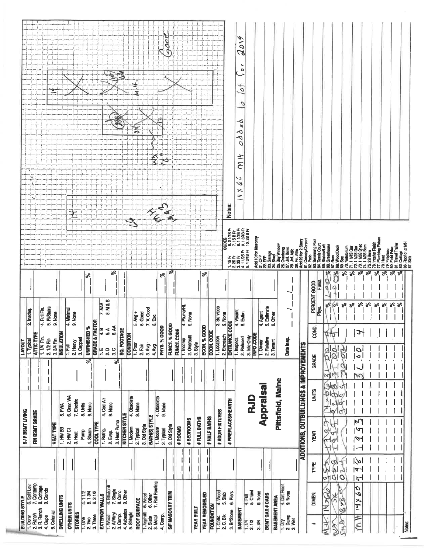| S/F BSMT LIVING<br>FIN BSMT GRADE<br><b>HEAT TYPE</b>                                                                                                                                                                       |                                  | 4. Full Fin.<br>5. FI/Stairs<br>2. Inadeq.<br>9. None<br>1. Typical<br>ATTIC TYPE<br>1.1/4 Fin.<br>2.1/2 Fin<br>3.3/4 Fin<br><b>LIVOUT</b>                                                                          |                                                                                                                             | he.                                                                                                            |
|-----------------------------------------------------------------------------------------------------------------------------------------------------------------------------------------------------------------------------|----------------------------------|---------------------------------------------------------------------------------------------------------------------------------------------------------------------------------------------------------------------|-----------------------------------------------------------------------------------------------------------------------------|----------------------------------------------------------------------------------------------------------------|
| 6. Grav. WA<br>4. Cool Air<br>7. Electric<br>9. None<br>8. Units<br>9. None<br>5. FWA<br>KITCHEN STYLE<br>3. Heat Pump<br><b>COOL TYPE</b><br>1. HW BB<br>2. HW CI<br>1. Refrig.<br>4. Steam<br>Purp<br>2. Evap.<br>3. Heat | ब्स्<br>रू                       | 8. M & S<br>7. AAA<br>4. Minimal<br>9. None<br><b>GRADE &amp; FACTOR</b><br>6.AA<br>UNFINISHED %<br>$\mathbf{m} \leq$<br><b>SQ. FOOTAGE</b><br><b>INSULATION</b><br>ဟ<br>3. Capped<br>2. Heavy<br>1. Full           | ಸ್<br>వి                                                                                                                    |                                                                                                                |
| 4. Obsolete<br>4. Obsolete<br>9. None<br>9. Nońe<br>BATH(S) STYLE<br># BEDROOMS<br>3. Old Style<br>3. Old Style<br>1. Modern<br># ROOMS<br>1. Modern<br>2. Typical<br>2. Typical                                            |                                  | 4. Plumb/Ht<br>7. V. Good<br>$5.$ Avg +<br>6. Good<br>8. Exc.<br>FUNCT. % GOOD<br><b>PHYS. % GOOD</b><br><b>FUNCT. CODE</b><br><b>CONDITION</b><br>1. Incomp<br>3. Avg -<br>1. P <sub>00</sub><br>2. Fair<br>4. Avg | $s_{\rm e}$<br>ಸ್                                                                                                           | $\mathbb{H}$                                                                                                   |
| #FIREPLACES/HEARTH<br># ADDN FIXTURES<br># HALF BATHS<br># FULL BATHS                                                                                                                                                       |                                  | 3. Services<br>CODE<br>4. Vacant<br>5. Estim.<br>9. None<br>9. None<br><b>ECON. % GOOD</b><br>ECON. CODE<br><b>ENTRANCE</b><br>2. Encroach<br>2. Overbuilt<br>1. Location<br>2. Refused<br>1. Inspect.<br>3. Style  | 21/2SFr<br>7.13 B F<br>8.11/28 F<br>8.13/48 F<br>9.28 B Fr<br>10.28 B Fr<br>1.18FF<br>2.28SFF<br>4.1128FF<br>5.1348FF<br>ಸ್ | s<br>aoi<br>٠<br>$\bullet$<br>to<br>c<br>≺<br>٩<br>⋖<br>o<br>O<br>M It<br>ر<br>$\check{v}$<br>×<br>Þ<br>Notes: |
| <b>ADDITIONS, OUTBUILDINGS &amp; IMPROVEMENTS</b><br>Pittsfield, Maine<br>Appraisal<br><b>RJD</b>                                                                                                                           |                                  | 4. Agent<br>5. Estimate<br>6. Other<br>3. Info Only<br>INFO .CODE<br>2. Relative<br>Date Insp.<br>1. Owner<br>3. Tenant                                                                                             | Ad 10 for<br>21. OFP<br>21. Stanger<br>21. Stanger<br>31. Stanger<br>31. Stanger<br>31. Orental<br>Add 20 fo<br>ನೆ ನೆ<br>2  |                                                                                                                |
| <b>UNITS</b><br>Q)<br><b>YEAR</b><br>$\sigma$                                                                                                                                                                               | GRADE<br>Z                       | PERCENT GOOD<br>శ<br>Phys.<br>g<br>8<br>ø<br>0                                                                                                                                                                      | 着<br>ຊ<br>83<br>G<br>Funct<br>Q                                                                                             |                                                                                                                |
| ٥<br>σ<br>N<br>A<br>α<br>$\boldsymbol{a}$<br>Ā                                                                                                                                                                              | Ò,<br>Ø<br>Ņη<br>H<br>900<br>ત્ત | $8^{\circ}$<br>శి<br>శి<br>$\%$<br>ಕ್<br>441<br>∤≝<br>$\overline{\otimes}$<br>$\overline{c}$<br>b<br>B<br>$\ddot{\bullet}$                                                                                          | ood Dec<br>ෂි<br>易<br>$\tilde{\mathcal{S}}$<br>sé                                                                           |                                                                                                                |
|                                                                                                                                                                                                                             |                                  | ಕ್ತಿ<br>$\%$<br>ని<br>శి<br>$\cdot$<br>$\mathbf{I}$<br>$\mathbf{I}$                                                                                                                                                 | Plumbing F<br>terior Fini<br>혊<br>ន ន ន<br>S<br>ङ<br>శి<br>ಕ್ಗ<br>$\mathbf{e}^{\mathbf{e}}$                                 |                                                                                                                |